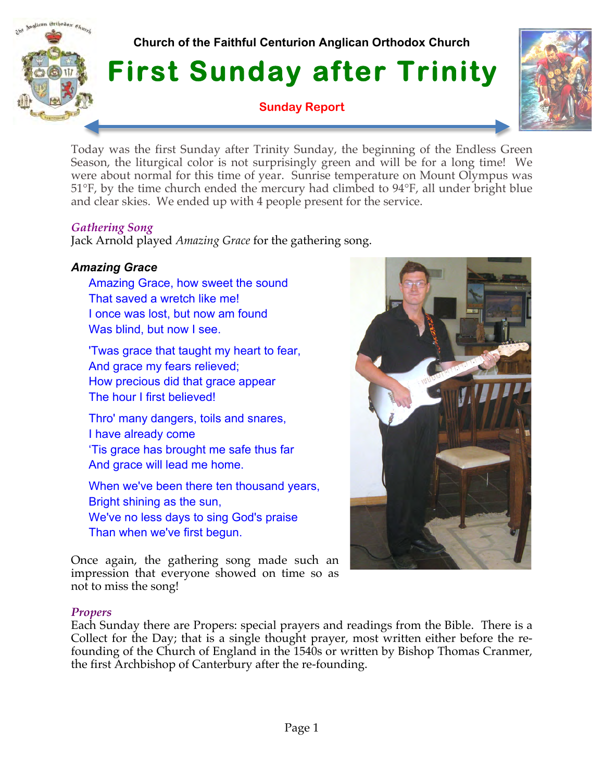# **Church of the Faithful Centurion Anglican Orthodox Church**

**First Sunday after Trinity** 

**Sunday Report**



Today was the first Sunday after Trinity Sunday, the beginning of the Endless Green Season, the liturgical color is not surprisingly green and will be for a long time! We were about normal for this time of year. Sunrise temperature on Mount Olympus was 51°F, by the time church ended the mercury had climbed to 94°F, all under bright blue and clear skies. We ended up with 4 people present for the service.

## *Gathering Song*

malican Orthodox Church

Jack Arnold played *Amazing Grace* for the gathering song.

## *Amazing Grace*

Amazing Grace, how sweet the sound That saved a wretch like me! I once was lost, but now am found Was blind, but now I see.

'Twas grace that taught my heart to fear, And grace my fears relieved; How precious did that grace appear The hour I first believed!

Thro' many dangers, toils and snares, I have already come 'Tis grace has brought me safe thus far And grace will lead me home.

When we've been there ten thousand years, Bright shining as the sun, We've no less days to sing God's praise Than when we've first begun.

Once again, the gathering song made such an impression that everyone showed on time so as not to miss the song!

#### *Propers*

Each Sunday there are Propers: special prayers and readings from the Bible. There is a Collect for the Day; that is a single thought prayer, most written either before the refounding of the Church of England in the 1540s or written by Bishop Thomas Cranmer, the first Archbishop of Canterbury after the re-founding.

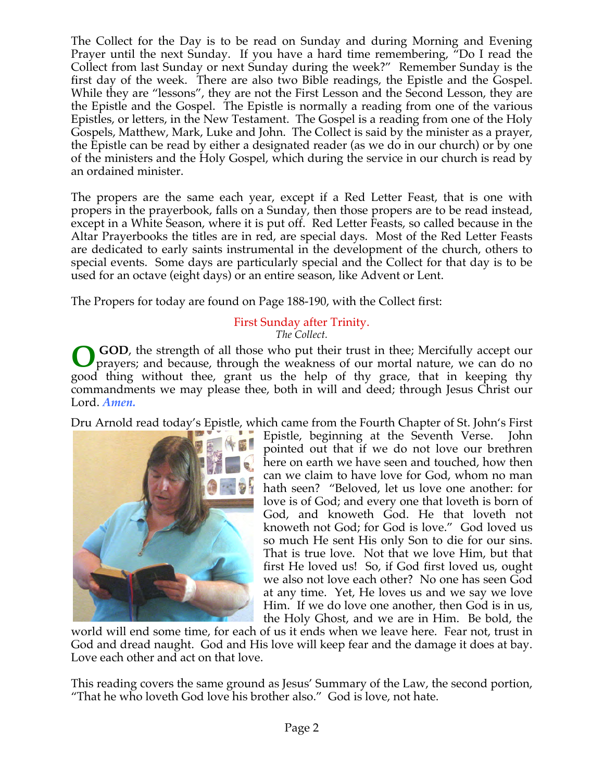The Collect for the Day is to be read on Sunday and during Morning and Evening Prayer until the next Sunday. If you have a hard time remembering, "Do I read the Collect from last Sunday or next Sunday during the week?" Remember Sunday is the first day of the week. There are also two Bible readings, the Epistle and the Gospel. While they are "lessons", they are not the First Lesson and the Second Lesson, they are the Epistle and the Gospel. The Epistle is normally a reading from one of the various Epistles, or letters, in the New Testament. The Gospel is a reading from one of the Holy Gospels, Matthew, Mark, Luke and John. The Collect is said by the minister as a prayer, the Epistle can be read by either a designated reader (as we do in our church) or by one of the ministers and the Holy Gospel, which during the service in our church is read by an ordained minister.

The propers are the same each year, except if a Red Letter Feast, that is one with propers in the prayerbook, falls on a Sunday, then those propers are to be read instead, except in a White Season, where it is put off. Red Letter Feasts, so called because in the Altar Prayerbooks the titles are in red, are special days. Most of the Red Letter Feasts are dedicated to early saints instrumental in the development of the church, others to special events. Some days are particularly special and the Collect for that day is to be used for an octave (eight days) or an entire season, like Advent or Lent.

The Propers for today are found on Page 188-190, with the Collect first:

#### First Sunday after Trinity. *The Collect.*

 **GOD**, the strength of all those who put their trust in thee; Mercifully accept our prayers; and because, through the weakness of our mortal nature, we can do no good thing without thee, grant us the help of thy grace, that in keeping thy commandments we may please thee, both in will and deed; through Jesus Christ our Lord. *Amen.* **O**

Dru Arnold read today's Epistle, which came from the Fourth Chapter of St. John's First



Epistle, beginning at the Seventh Verse. John pointed out that if we do not love our brethren here on earth we have seen and touched, how then can we claim to have love for God, whom no man hath seen? "Beloved, let us love one another: for love is of God; and every one that loveth is born of God, and knoweth God. He that loveth not knoweth not God; for God is love." God loved us so much He sent His only Son to die for our sins. That is true love. Not that we love Him, but that first He loved us! So, if God first loved us, ought we also not love each other? No one has seen God at any time. Yet, He loves us and we say we love Him. If we do love one another, then God is in us, the Holy Ghost, and we are in Him. Be bold, the

world will end some time, for each of us it ends when we leave here. Fear not, trust in God and dread naught. God and His love will keep fear and the damage it does at bay. Love each other and act on that love.

This reading covers the same ground as Jesus' Summary of the Law, the second portion, "That he who loveth God love his brother also." God is love, not hate.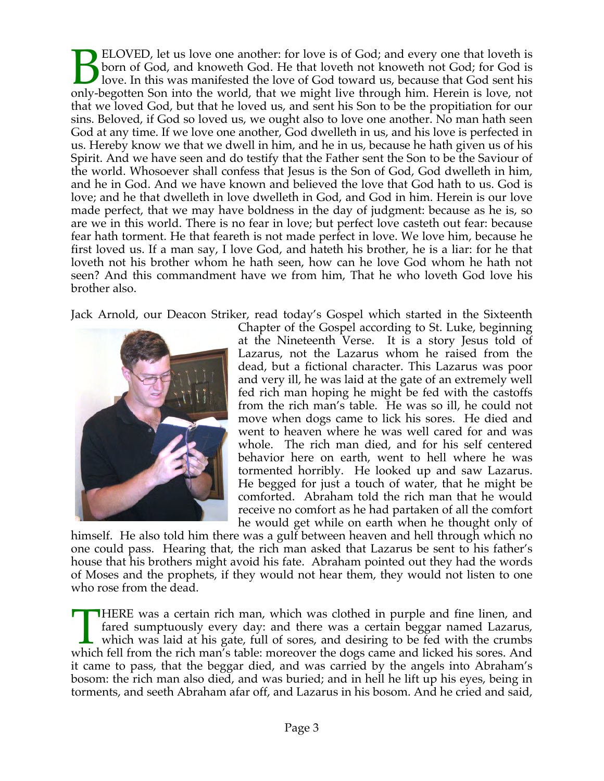ELOVED, let us love one another: for love is of God; and every one that loveth is born of God, and knoweth God. He that loveth not knoweth not God; for God is love. In this was manifested the love of God toward us, because that God sent his **ELOVED**, let us love one another: for love is of God; and every one that loveth is loven of God, and knoweth God. He that loveth not knoweth not God; for God is love. In this was manifested the love of God toward us, beca that we loved God, but that he loved us, and sent his Son to be the propitiation for our sins. Beloved, if God so loved us, we ought also to love one another. No man hath seen God at any time. If we love one another, God dwelleth in us, and his love is perfected in us. Hereby know we that we dwell in him, and he in us, because he hath given us of his Spirit. And we have seen and do testify that the Father sent the Son to be the Saviour of the world. Whosoever shall confess that Jesus is the Son of God, God dwelleth in him, and he in God. And we have known and believed the love that God hath to us. God is love; and he that dwelleth in love dwelleth in God, and God in him. Herein is our love made perfect, that we may have boldness in the day of judgment: because as he is, so are we in this world. There is no fear in love; but perfect love casteth out fear: because fear hath torment. He that feareth is not made perfect in love. We love him, because he first loved us. If a man say, I love God, and hateth his brother, he is a liar: for he that loveth not his brother whom he hath seen, how can he love God whom he hath not seen? And this commandment have we from him, That he who loveth God love his brother also.

Jack Arnold, our Deacon Striker, read today's Gospel which started in the Sixteenth



Chapter of the Gospel according to St. Luke, beginning at the Nineteenth Verse. It is a story Jesus told of Lazarus, not the Lazarus whom he raised from the dead, but a fictional character. This Lazarus was poor and very ill, he was laid at the gate of an extremely well fed rich man hoping he might be fed with the castoffs from the rich man's table. He was so ill, he could not move when dogs came to lick his sores. He died and went to heaven where he was well cared for and was whole. The rich man died, and for his self centered behavior here on earth, went to hell where he was tormented horribly. He looked up and saw Lazarus. He begged for just a touch of water, that he might be comforted. Abraham told the rich man that he would receive no comfort as he had partaken of all the comfort he would get while on earth when he thought only of

himself. He also told him there was a gulf between heaven and hell through which no one could pass. Hearing that, the rich man asked that Lazarus be sent to his father's house that his brothers might avoid his fate. Abraham pointed out they had the words of Moses and the prophets, if they would not hear them, they would not listen to one who rose from the dead.

HERE was a certain rich man, which was clothed in purple and fine linen, and fared sumptuously every day: and there was a certain beggar named Lazarus, which was laid at his gate, full of sores, and desiring to be fed with the crumbs HERE was a certain rich man, which was clothed in purple and fine linen, and fared sumptuously every day: and there was a certain beggar named Lazarus, which was laid at his gate, full of sores, and desiring to be fed with it came to pass, that the beggar died, and was carried by the angels into Abraham's bosom: the rich man also died, and was buried; and in hell he lift up his eyes, being in torments, and seeth Abraham afar off, and Lazarus in his bosom. And he cried and said,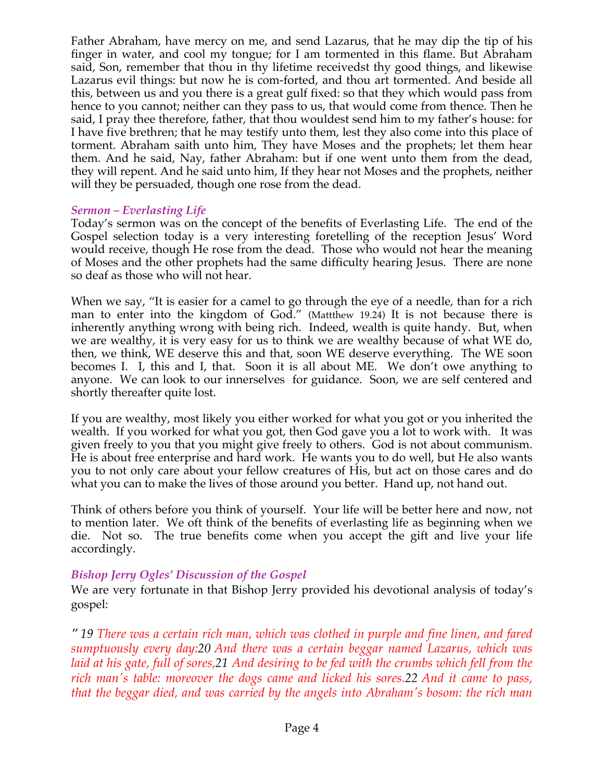Father Abraham, have mercy on me, and send Lazarus, that he may dip the tip of his finger in water, and cool my tongue; for I am tormented in this flame. But Abraham said, Son, remember that thou in thy lifetime receivedst thy good things, and likewise Lazarus evil things: but now he is com-forted, and thou art tormented. And beside all this, between us and you there is a great gulf fixed: so that they which would pass from hence to you cannot; neither can they pass to us, that would come from thence. Then he said, I pray thee therefore, father, that thou wouldest send him to my father's house: for I have five brethren; that he may testify unto them, lest they also come into this place of torment. Abraham saith unto him, They have Moses and the prophets; let them hear them. And he said, Nay, father Abraham: but if one went unto them from the dead, they will repent. And he said unto him, If they hear not Moses and the prophets, neither will they be persuaded, though one rose from the dead.

#### *Sermon – Everlasting Life*

Today's sermon was on the concept of the benefits of Everlasting Life. The end of the Gospel selection today is a very interesting foretelling of the reception Jesus' Word would receive, though He rose from the dead. Those who would not hear the meaning of Moses and the other prophets had the same difficulty hearing Jesus. There are none so deaf as those who will not hear.

When we say, "It is easier for a camel to go through the eye of a needle, than for a rich man to enter into the kingdom of God." (Mattthew 19.24) It is not because there is inherently anything wrong with being rich. Indeed, wealth is quite handy. But, when we are wealthy, it is very easy for us to think we are wealthy because of what WE do, then, we think, WE deserve this and that, soon WE deserve everything. The WE soon becomes I. I, this and I, that. Soon it is all about ME. We don't owe anything to anyone. We can look to our innerselves for guidance. Soon, we are self centered and shortly thereafter quite lost.

If you are wealthy, most likely you either worked for what you got or you inherited the wealth. If you worked for what you got, then God gave you a lot to work with. It was given freely to you that you might give freely to others. God is not about communism. He is about free enterprise and hard work. He wants you to do well, but He also wants you to not only care about your fellow creatures of His, but act on those cares and do what you can to make the lives of those around you better. Hand up, not hand out.

Think of others before you think of yourself. Your life will be better here and now, not to mention later. We oft think of the benefits of everlasting life as beginning when we die. Not so. The true benefits come when you accept the gift and live your life accordingly.

## *Bishop Jerry Ogles' Discussion of the Gospel*

We are very fortunate in that Bishop Jerry provided his devotional analysis of today's gospel:

*" 19 There was a certain rich man, which was clothed in purple and fine linen, and fared sumptuously every day:20 And there was a certain beggar named Lazarus, which was laid at his gate, full of sores,21 And desiring to be fed with the crumbs which fell from the rich man's table: moreover the dogs came and licked his sores.22 And it came to pass, that the beggar died, and was carried by the angels into Abraham's bosom: the rich man*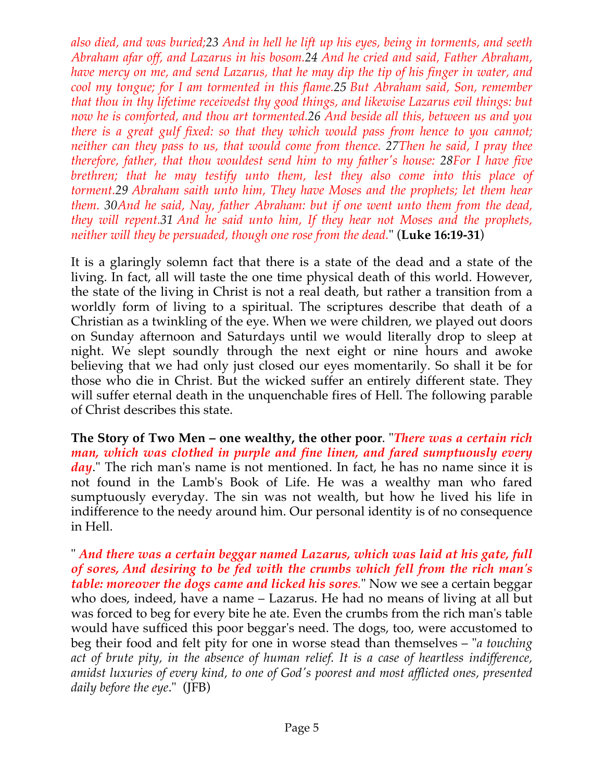*also died, and was buried;23 And in hell he lift up his eyes, being in torments, and seeth Abraham afar off, and Lazarus in his bosom.24 And he cried and said, Father Abraham, have mercy on me, and send Lazarus, that he may dip the tip of his finger in water, and cool my tongue; for I am tormented in this flame.25 But Abraham said, Son, remember that thou in thy lifetime receivedst thy good things, and likewise Lazarus evil things: but now he is comforted, and thou art tormented.26 And beside all this, between us and you there is a great gulf fixed: so that they which would pass from hence to you cannot; neither can they pass to us, that would come from thence. 27Then he said, I pray thee therefore, father, that thou wouldest send him to my father's house: 28For I have five brethren; that he may testify unto them, lest they also come into this place of torment.29 Abraham saith unto him, They have Moses and the prophets; let them hear them. 30And he said, Nay, father Abraham: but if one went unto them from the dead, they will repent.31 And he said unto him, If they hear not Moses and the prophets, neither will they be persuaded, though one rose from the dead.*" (**Luke 16:19-31**)

It is a glaringly solemn fact that there is a state of the dead and a state of the living. In fact, all will taste the one time physical death of this world. However, the state of the living in Christ is not a real death, but rather a transition from a worldly form of living to a spiritual. The scriptures describe that death of a Christian as a twinkling of the eye. When we were children, we played out doors on Sunday afternoon and Saturdays until we would literally drop to sleep at night. We slept soundly through the next eight or nine hours and awoke believing that we had only just closed our eyes momentarily. So shall it be for those who die in Christ. But the wicked suffer an entirely different state. They will suffer eternal death in the unquenchable fires of Hell. The following parable of Christ describes this state.

**The Story of Two Men – one wealthy, the other poor**. "*There was a certain rich man, which was clothed in purple and fine linen, and fared sumptuously every*  day." The rich man's name is not mentioned. In fact, he has no name since it is not found in the Lamb's Book of Life. He was a wealthy man who fared sumptuously everyday. The sin was not wealth, but how he lived his life in indifference to the needy around him. Our personal identity is of no consequence in Hell.

" *And there was a certain beggar named Lazarus, which was laid at his gate, full of sores, And desiring to be fed with the crumbs which fell from the rich man's table: moreover the dogs came and licked his sores.*" Now we see a certain beggar who does, indeed, have a name – Lazarus. He had no means of living at all but was forced to beg for every bite he ate. Even the crumbs from the rich man's table would have sufficed this poor beggar's need. The dogs, too, were accustomed to beg their food and felt pity for one in worse stead than themselves – "*a touching act of brute pity, in the absence of human relief. It is a case of heartless indifference, amidst luxuries of every kind, to one of God's poorest and most afflicted ones, presented daily before the eye*." (JFB)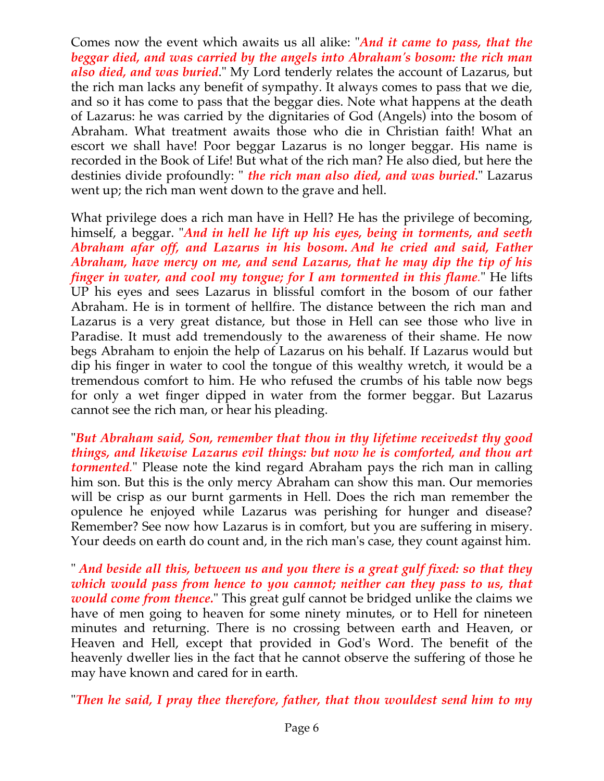Comes now the event which awaits us all alike: "*And it came to pass, that the beggar died, and was carried by the angels into Abraham's bosom: the rich man also died, and was buried*." My Lord tenderly relates the account of Lazarus, but the rich man lacks any benefit of sympathy. It always comes to pass that we die, and so it has come to pass that the beggar dies. Note what happens at the death of Lazarus: he was carried by the dignitaries of God (Angels) into the bosom of Abraham. What treatment awaits those who die in Christian faith! What an escort we shall have! Poor beggar Lazarus is no longer beggar. His name is recorded in the Book of Life! But what of the rich man? He also died, but here the destinies divide profoundly: " *the rich man also died, and was buried*." Lazarus went up; the rich man went down to the grave and hell.

What privilege does a rich man have in Hell? He has the privilege of becoming, himself, a beggar. "*And in hell he lift up his eyes, being in torments, and seeth Abraham afar off, and Lazarus in his bosom. And he cried and said, Father Abraham, have mercy on me, and send Lazarus, that he may dip the tip of his finger in water, and cool my tongue; for I am tormented in this flame.*" He lifts UP his eyes and sees Lazarus in blissful comfort in the bosom of our father Abraham. He is in torment of hellfire. The distance between the rich man and Lazarus is a very great distance, but those in Hell can see those who live in Paradise. It must add tremendously to the awareness of their shame. He now begs Abraham to enjoin the help of Lazarus on his behalf. If Lazarus would but dip his finger in water to cool the tongue of this wealthy wretch, it would be a tremendous comfort to him. He who refused the crumbs of his table now begs for only a wet finger dipped in water from the former beggar. But Lazarus cannot see the rich man, or hear his pleading.

"*But Abraham said, Son, remember that thou in thy lifetime receivedst thy good things, and likewise Lazarus evil things: but now he is comforted, and thou art tormented.*" Please note the kind regard Abraham pays the rich man in calling him son. But this is the only mercy Abraham can show this man. Our memories will be crisp as our burnt garments in Hell. Does the rich man remember the opulence he enjoyed while Lazarus was perishing for hunger and disease? Remember? See now how Lazarus is in comfort, but you are suffering in misery. Your deeds on earth do count and, in the rich man's case, they count against him.

" *And beside all this, between us and you there is a great gulf fixed: so that they which would pass from hence to you cannot; neither can they pass to us, that would come from thence.*" This great gulf cannot be bridged unlike the claims we have of men going to heaven for some ninety minutes, or to Hell for nineteen minutes and returning. There is no crossing between earth and Heaven, or Heaven and Hell, except that provided in God's Word. The benefit of the heavenly dweller lies in the fact that he cannot observe the suffering of those he may have known and cared for in earth.

"*Then he said, I pray thee therefore, father, that thou wouldest send him to my*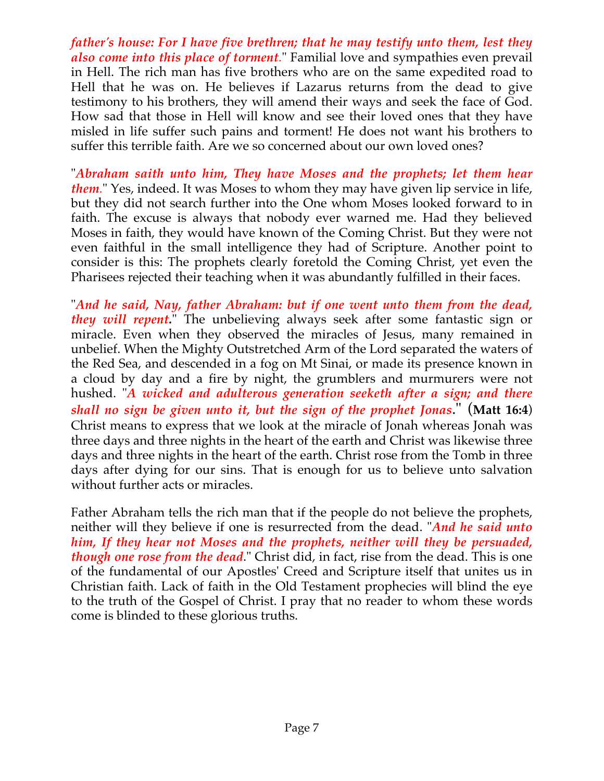*father's house: For I have five brethren; that he may testify unto them, lest they also come into this place of torment.*" Familial love and sympathies even prevail in Hell. The rich man has five brothers who are on the same expedited road to Hell that he was on. He believes if Lazarus returns from the dead to give testimony to his brothers, they will amend their ways and seek the face of God. How sad that those in Hell will know and see their loved ones that they have misled in life suffer such pains and torment! He does not want his brothers to suffer this terrible faith. Are we so concerned about our own loved ones?

"*Abraham saith unto him, They have Moses and the prophets; let them hear them.*" Yes, indeed. It was Moses to whom they may have given lip service in life, but they did not search further into the One whom Moses looked forward to in faith. The excuse is always that nobody ever warned me. Had they believed Moses in faith, they would have known of the Coming Christ. But they were not even faithful in the small intelligence they had of Scripture. Another point to consider is this: The prophets clearly foretold the Coming Christ, yet even the Pharisees rejected their teaching when it was abundantly fulfilled in their faces.

"*And he said, Nay, father Abraham: but if one went unto them from the dead, they will repent.*" The unbelieving always seek after some fantastic sign or miracle. Even when they observed the miracles of Jesus, many remained in unbelief. When the Mighty Outstretched Arm of the Lord separated the waters of the Red Sea, and descended in a fog on Mt Sinai, or made its presence known in a cloud by day and a fire by night, the grumblers and murmurers were not hushed. "*A wicked and adulterous generation seeketh after a sign; and there shall no sign be given unto it, but the sign of the prophet Jonas*." (**Matt 16:4**) Christ means to express that we look at the miracle of Jonah whereas Jonah was three days and three nights in the heart of the earth and Christ was likewise three days and three nights in the heart of the earth. Christ rose from the Tomb in three days after dying for our sins. That is enough for us to believe unto salvation without further acts or miracles.

Father Abraham tells the rich man that if the people do not believe the prophets, neither will they believe if one is resurrected from the dead. "*And he said unto him, If they hear not Moses and the prophets, neither will they be persuaded, though one rose from the dead*." Christ did, in fact, rise from the dead. This is one of the fundamental of our Apostles' Creed and Scripture itself that unites us in Christian faith. Lack of faith in the Old Testament prophecies will blind the eye to the truth of the Gospel of Christ. I pray that no reader to whom these words come is blinded to these glorious truths.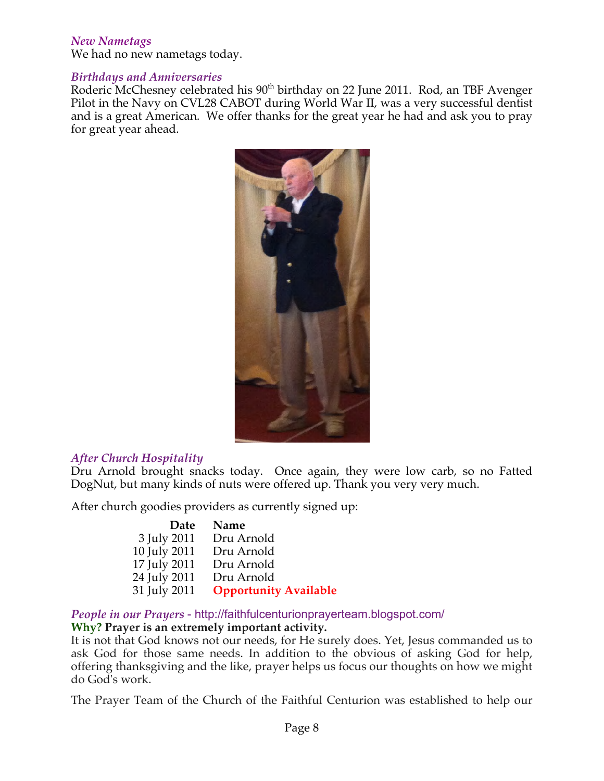#### *New Nametags*

We had no new nametags today.

#### *Birthdays and Anniversaries*

Roderic McChesney celebrated his 90<sup>th</sup> birthday on 22 June 2011. Rod, an TBF Avenger Pilot in the Navy on CVL28 CABOT during World War II, was a very successful dentist and is a great American. We offer thanks for the great year he had and ask you to pray for great year ahead.



#### *After Church Hospitality*

Dru Arnold brought snacks today. Once again, they were low carb, so no Fatted DogNut, but many kinds of nuts were offered up. Thank you very very much.

After church goodies providers as currently signed up:

| Date         | Name                         |
|--------------|------------------------------|
| 3 July 2011  | Dru Arnold                   |
| 10 July 2011 | Dru Arnold                   |
| 17 July 2011 | Dru Arnold                   |
| 24 July 2011 | Dru Arnold                   |
| 31 July 2011 | <b>Opportunity Available</b> |

*People in our Prayers* - http://faithfulcenturionprayerteam.blogspot.com/ **Why? Prayer is an extremely important activity.**

It is not that God knows not our needs, for He surely does. Yet, Jesus commanded us to ask God for those same needs. In addition to the obvious of asking God for help, offering thanksgiving and the like, prayer helps us focus our thoughts on how we might do God's work.

The Prayer Team of the Church of the Faithful Centurion was established to help our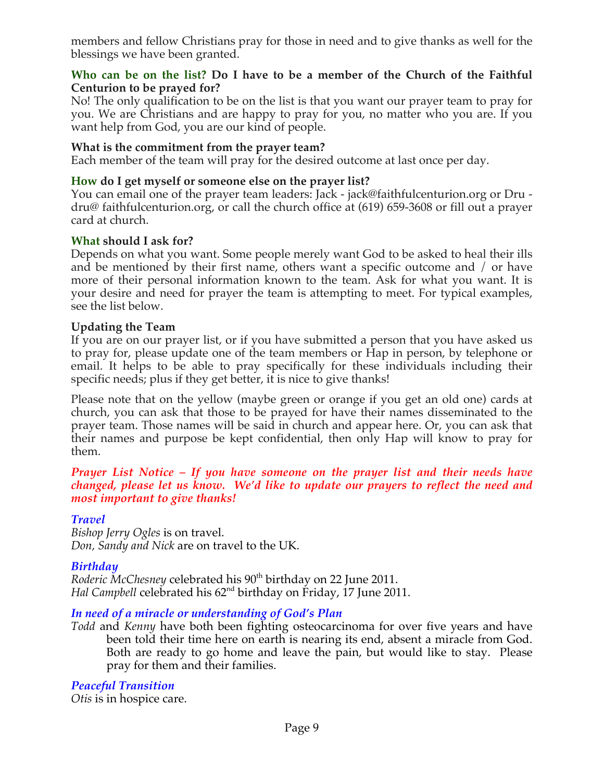members and fellow Christians pray for those in need and to give thanks as well for the blessings we have been granted.

#### **Who can be on the list? Do I have to be a member of the Church of the Faithful Centurion to be prayed for?**

No! The only qualification to be on the list is that you want our prayer team to pray for you. We are Christians and are happy to pray for you, no matter who you are. If you want help from God, you are our kind of people.

#### **What is the commitment from the prayer team?**

Each member of the team will pray for the desired outcome at last once per day.

#### **How do I get myself or someone else on the prayer list?**

You can email one of the prayer team leaders: Jack - jack@faithfulcenturion.org or Dru dru@ faithfulcenturion.org, or call the church office at (619) 659-3608 or fill out a prayer card at church.

#### **What should I ask for?**

Depends on what you want. Some people merely want God to be asked to heal their ills and be mentioned by their first name, others want a specific outcome and / or have more of their personal information known to the team. Ask for what you want. It is your desire and need for prayer the team is attempting to meet. For typical examples, see the list below.

#### **Updating the Team**

If you are on our prayer list, or if you have submitted a person that you have asked us to pray for, please update one of the team members or Hap in person, by telephone or email. It helps to be able to pray specifically for these individuals including their specific needs; plus if they get better, it is nice to give thanks!

Please note that on the yellow (maybe green or orange if you get an old one) cards at church, you can ask that those to be prayed for have their names disseminated to the prayer team. Those names will be said in church and appear here. Or, you can ask that their names and purpose be kept confidential, then only Hap will know to pray for them.

#### *Prayer List Notice – If you have someone on the prayer list and their needs have changed, please let us know. We'd like to update our prayers to reflect the need and most important to give thanks!*

#### *Travel*

*Bishop Jerry Ogles* is on travel. *Don, Sandy and Nick* are on travel to the UK.

#### *Birthday*

*Roderic McChesney* celebrated his 90<sup>th</sup> birthday on 22 June 2011. *Hal Campbell* celebrated his 62nd birthday on Friday, 17 June 2011.

#### *In need of a miracle or understanding of God's Plan*

*Todd* and *Kenny* have both been fighting osteocarcinoma for over five years and have been told their time here on earth is nearing its end, absent a miracle from God. Both are ready to go home and leave the pain, but would like to stay. Please pray for them and their families.

#### *Peaceful Transition*

*Otis* is in hospice care.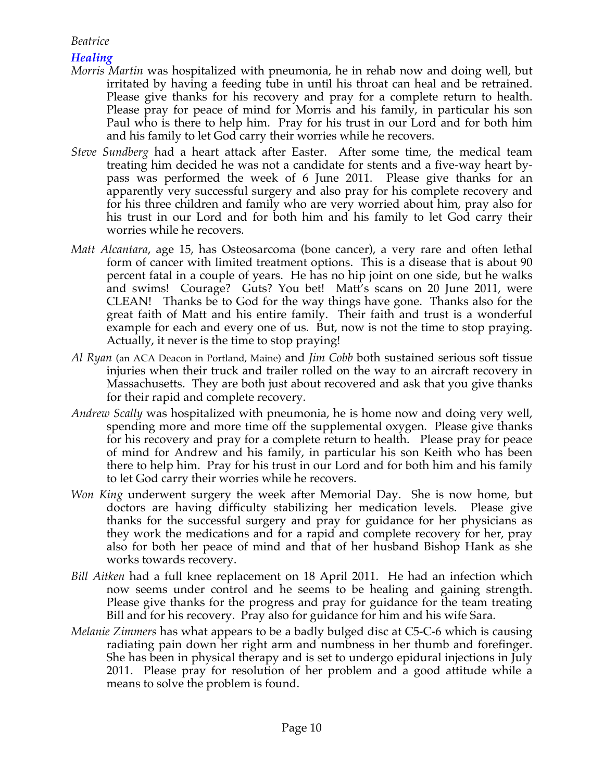## *Beatrice*

## *Healing*

- *Morris Martin* was hospitalized with pneumonia, he in rehab now and doing well, but irritated by having a feeding tube in until his throat can heal and be retrained. Please give thanks for his recovery and pray for a complete return to health. Please pray for peace of mind for Morris and his family, in particular his son Paul who is there to help him. Pray for his trust in our Lord and for both him and his family to let God carry their worries while he recovers.
- *Steve Sundberg* had a heart attack after Easter. After some time, the medical team treating him decided he was not a candidate for stents and a five-way heart bypass was performed the week of 6 June 2011. Please give thanks for an apparently very successful surgery and also pray for his complete recovery and for his three children and family who are very worried about him, pray also for his trust in our Lord and for both him and his family to let God carry their worries while he recovers.
- *Matt Alcantara*, age 15, has Osteosarcoma (bone cancer), a very rare and often lethal form of cancer with limited treatment options. This is a disease that is about 90 percent fatal in a couple of years. He has no hip joint on one side, but he walks and swims! Courage? Guts? You bet! Matt's scans on 20 June 2011, were CLEAN! Thanks be to God for the way things have gone. Thanks also for the great faith of Matt and his entire family. Their faith and trust is a wonderful example for each and every one of us. But, now is not the time to stop praying. Actually, it never is the time to stop praying!
- *Al Ryan* (an ACA Deacon in Portland, Maine) and *Jim Cobb* both sustained serious soft tissue injuries when their truck and trailer rolled on the way to an aircraft recovery in Massachusetts. They are both just about recovered and ask that you give thanks for their rapid and complete recovery.
- *Andrew Scally* was hospitalized with pneumonia, he is home now and doing very well, spending more and more time off the supplemental oxygen. Please give thanks for his recovery and pray for a complete return to health. Please pray for peace of mind for Andrew and his family, in particular his son Keith who has been there to help him. Pray for his trust in our Lord and for both him and his family to let God carry their worries while he recovers.
- *Won King* underwent surgery the week after Memorial Day. She is now home, but doctors are having difficulty stabilizing her medication levels. Please give thanks for the successful surgery and pray for guidance for her physicians as they work the medications and for a rapid and complete recovery for her, pray also for both her peace of mind and that of her husband Bishop Hank as she works towards recovery.
- *Bill Aitken* had a full knee replacement on 18 April 2011. He had an infection which now seems under control and he seems to be healing and gaining strength. Please give thanks for the progress and pray for guidance for the team treating Bill and for his recovery. Pray also for guidance for him and his wife Sara.
- *Melanie Zimmers* has what appears to be a badly bulged disc at C5-C-6 which is causing radiating pain down her right arm and numbness in her thumb and forefinger. She has been in physical therapy and is set to undergo epidural injections in July 2011. Please pray for resolution of her problem and a good attitude while a means to solve the problem is found.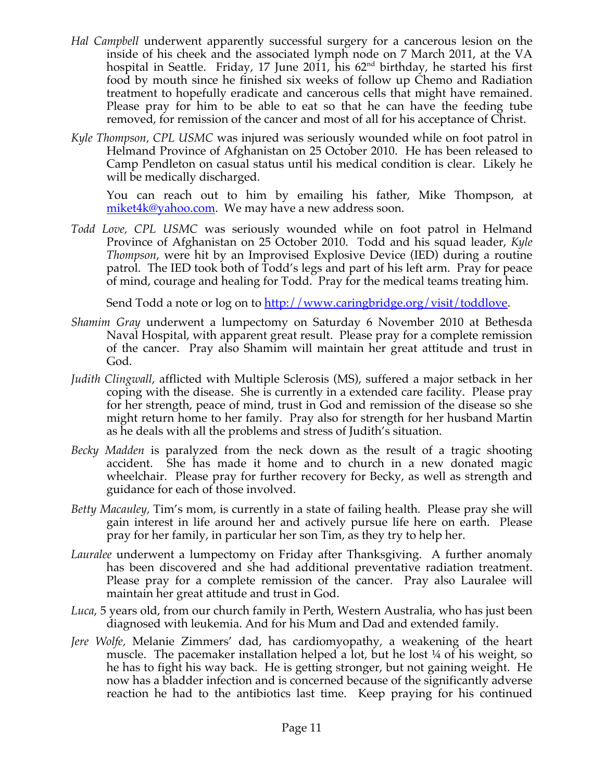- *Hal Campbell* underwent apparently successful surgery for a cancerous lesion on the inside of his cheek and the associated lymph node on 7 March 2011, at the VA hospital in Seattle. Friday, 17 June 2011, his  $62<sup>nd</sup>$  birthday, he started his first food by mouth since he finished six weeks of follow up Chemo and Radiation treatment to hopefully eradicate and cancerous cells that might have remained. Please pray for him to be able to eat so that he can have the feeding tube removed, for remission of the cancer and most of all for his acceptance of Christ.
- *Kyle Thompson, CPL USMC* was injured was seriously wounded while on foot patrol in Helmand Province of Afghanistan on 25 October 2010. He has been released to Camp Pendleton on casual status until his medical condition is clear. Likely he will be medically discharged.

You can reach out to him by emailing his father, Mike Thompson, at miket4k@yahoo.com. We may have a new address soon.

*Todd Love, CPL USMC* was seriously wounded while on foot patrol in Helmand Province of Afghanistan on 25 October 2010. Todd and his squad leader, *Kyle Thompson*, were hit by an Improvised Explosive Device (IED) during a routine patrol. The IED took both of Todd's legs and part of his left arm. Pray for peace of mind, courage and healing for Todd. Pray for the medical teams treating him.

Send Todd a note or log on to http://www.caringbridge.org/visit/toddlove.

- *Shamim Gray* underwent a lumpectomy on Saturday 6 November 2010 at Bethesda Naval Hospital, with apparent great result. Please pray for a complete remission of the cancer. Pray also Shamim will maintain her great attitude and trust in God.
- *Judith Clingwall*, afflicted with Multiple Sclerosis (MS), suffered a major setback in her coping with the disease. She is currently in a extended care facility. Please pray for her strength, peace of mind, trust in God and remission of the disease so she might return home to her family. Pray also for strength for her husband Martin as he deals with all the problems and stress of Judith's situation.
- *Becky Madden* is paralyzed from the neck down as the result of a tragic shooting accident. She has made it home and to church in a new donated magic wheelchair. Please pray for further recovery for Becky, as well as strength and guidance for each of those involved.
- *Betty Macauley,* Tim's mom, is currently in a state of failing health. Please pray she will gain interest in life around her and actively pursue life here on earth. Please pray for her family, in particular her son Tim, as they try to help her.
- *Lauralee* underwent a lumpectomy on Friday after Thanksgiving. A further anomaly has been discovered and she had additional preventative radiation treatment. Please pray for a complete remission of the cancer. Pray also Lauralee will maintain her great attitude and trust in God.
- *Luca*, 5 years old, from our church family in Perth, Western Australia, who has just been diagnosed with leukemia. And for his Mum and Dad and extended family.
- *Jere Wolfe,* Melanie Zimmers' dad, has cardiomyopathy, a weakening of the heart muscle. The pacemaker installation helped a lot, but he lost ¼ of his weight, so he has to fight his way back. He is getting stronger, but not gaining weight. He now has a bladder infection and is concerned because of the significantly adverse reaction he had to the antibiotics last time. Keep praying for his continued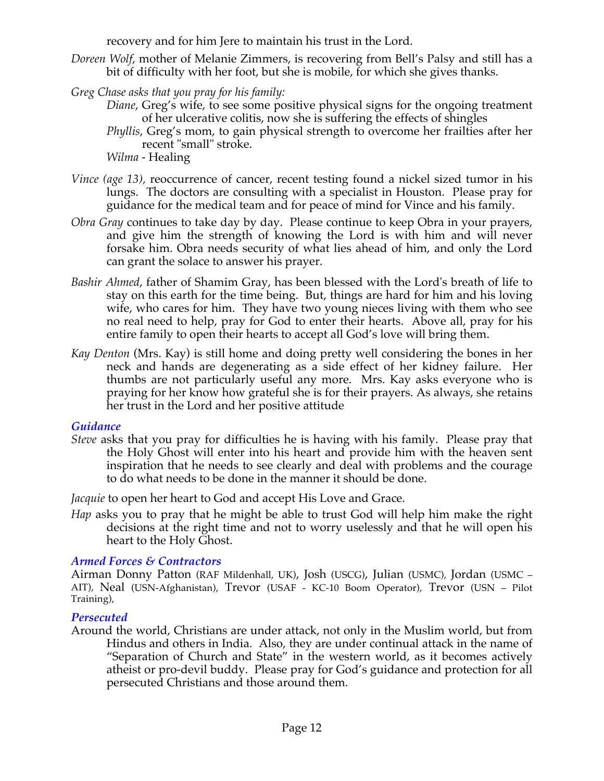recovery and for him Jere to maintain his trust in the Lord.

- *Doreen Wolf*, mother of Melanie Zimmers, is recovering from Bell's Palsy and still has a bit of difficulty with her foot, but she is mobile, for which she gives thanks.
- *Greg Chase asks that you pray for his family:*
	- *Diane*, Greg's wife, to see some positive physical signs for the ongoing treatment of her ulcerative colitis, now she is suffering the effects of shingles
	- *Phyllis*, Greg's mom, to gain physical strength to overcome her frailties after her recent "small" stroke.
	- *Wilma*  Healing
- *Vince (age 13), reoccurrence of cancer, recent testing found a nickel sized tumor in his* lungs. The doctors are consulting with a specialist in Houston. Please pray for guidance for the medical team and for peace of mind for Vince and his family.
- *Obra Gray* continues to take day by day. Please continue to keep Obra in your prayers, and give him the strength of knowing the Lord is with him and will never forsake him. Obra needs security of what lies ahead of him, and only the Lord can grant the solace to answer his prayer.
- *Bashir Ahmed*, father of Shamim Gray, has been blessed with the Lord's breath of life to stay on this earth for the time being. But, things are hard for him and his loving wife, who cares for him. They have two young nieces living with them who see no real need to help, pray for God to enter their hearts. Above all, pray for his entire family to open their hearts to accept all God's love will bring them.
- *Kay Denton* (Mrs. Kay) is still home and doing pretty well considering the bones in her neck and hands are degenerating as a side effect of her kidney failure. Her thumbs are not particularly useful any more. Mrs. Kay asks everyone who is praying for her know how grateful she is for their prayers. As always, she retains her trust in the Lord and her positive attitude.

#### *Guidance*

*Steve* asks that you pray for difficulties he is having with his family. Please pray that the Holy Ghost will enter into his heart and provide him with the heaven sent inspiration that he needs to see clearly and deal with problems and the courage to do what needs to be done in the manner it should be done.

*Jacquie* to open her heart to God and accept His Love and Grace.

*Hap* asks you to pray that he might be able to trust God will help him make the right decisions at the right time and not to worry uselessly and that he will open his heart to the Holy Ghost.

#### *Armed Forces & Contractors*

Airman Donny Patton (RAF Mildenhall, UK), Josh (USCG), Julian (USMC), Jordan (USMC – AIT), Neal (USN-Afghanistan), Trevor (USAF - KC-10 Boom Operator), Trevor (USN – Pilot Training),

## *Persecuted*

Around the world, Christians are under attack, not only in the Muslim world, but from Hindus and others in India. Also, they are under continual attack in the name of "Separation of Church and State" in the western world, as it becomes actively atheist or pro-devil buddy. Please pray for God's guidance and protection for all persecuted Christians and those around them.